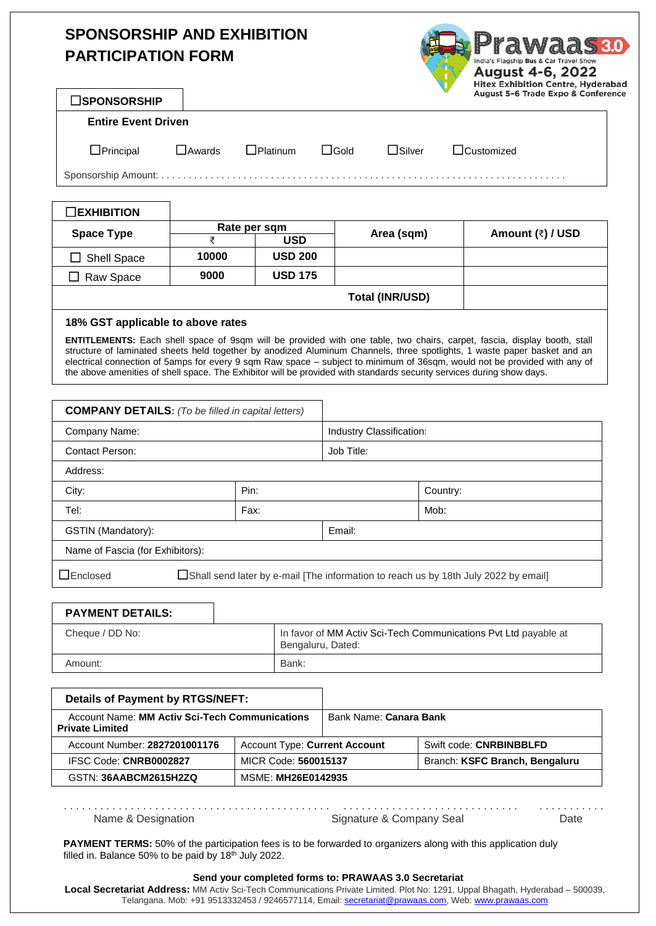# **SPONSORSHIP AND EXHIBITION PARTICIPATION FORM**

| dd.<br>India's Flagship Bus & Car Travel Show<br><b>August 4-6, 2022</b><br><b>Hitex Exhibition Centre, Hyderabad</b><br>August 5-6 Trade Expo & Conference |
|-------------------------------------------------------------------------------------------------------------------------------------------------------------|
|                                                                                                                                                             |

## **Entire Event Driven**

Principal Awards Platinum Gold Silver Customized

Sponsorship Amount: . . . . . . . . . . . . . . . . . . . . . . . . . . . . . . . . . . . . . . . . . . . . . . . . . . . . . . . . . . . . . . . . . . . . . . . . . .

| $\square$ EXHIBITION |              |                |                        |                  |
|----------------------|--------------|----------------|------------------------|------------------|
| <b>Space Type</b>    | Rate per sqm |                |                        |                  |
|                      |              | USD            | Area (sqm)             | Amount (₹) / USD |
| $\Box$ Shell Space   | 10000        | <b>USD 200</b> |                        |                  |
| Raw Space            | 9000         | <b>USD 175</b> |                        |                  |
|                      |              |                | <b>Total (INR/USD)</b> |                  |

### **18% GST applicable to above rates**

**ENTITLEMENTS:** Each shell space of 9sqm will be provided with one table, two chairs, carpet, fascia, display booth, stall structure of laminated sheets held together by anodized Aluminum Channels, three spotlights, 1 waste paper basket and an electrical connection of 5amps for every 9 sqm Raw space – subject to minimum of 36sqm, would not be provided with any of the above amenities of shell space. The Exhibitor will be provided with standards security services during show days.

| <b>COMPANY DETAILS:</b> (To be filled in capital letters)                                               |      |                          |          |  |
|---------------------------------------------------------------------------------------------------------|------|--------------------------|----------|--|
| Company Name:                                                                                           |      | Industry Classification: |          |  |
| <b>Contact Person:</b>                                                                                  |      | Job Title:               |          |  |
| Address:                                                                                                |      |                          |          |  |
| City:                                                                                                   | Pin: |                          | Country: |  |
| Tel:                                                                                                    | Fax: |                          | Mob:     |  |
| GSTIN (Mandatory):                                                                                      |      | Email:                   |          |  |
| Name of Fascia (for Exhibitors):                                                                        |      |                          |          |  |
| $\Box$ Enclosed<br>□Shall send later by e-mail [The information to reach us by 18th July 2022 by email] |      |                          |          |  |

| <b>PAYMENT DETAILS:</b> |                                                                                      |
|-------------------------|--------------------------------------------------------------------------------------|
| Cheque / DD No:         | In favor of MM Activ Sci-Tech Communications Pvt Ltd payable at<br>Bengaluru, Dated: |
| Amount:                 | Bank:                                                                                |

| <b>Details of Payment by RTGS/NEFT:</b>                                         |                                      |                        |                                |
|---------------------------------------------------------------------------------|--------------------------------------|------------------------|--------------------------------|
| <b>Account Name: MM Activ Sci-Tech Communications</b><br><b>Private Limited</b> |                                      | Bank Name: Canara Bank |                                |
| Account Number: 2827201001176                                                   | <b>Account Type: Current Account</b> |                        | Swift code: CNRBINBBLFD        |
| IFSC Code: CNRB0002827                                                          | MICR Code: 560015137                 |                        | Branch: KSFC Branch, Bengaluru |
| GSTN: 36AABCM2615H2ZQ                                                           | <b>MSME: MH26E0142935</b>            |                        |                                |

. . . . . . . . . . . . . . . . . . . . . . . . . . . . . . . . . . . . . . . . . . . . . . . . . . . . . . . . . . . . . . . . . . . . . . . . . . . . . . . . . . . . Name & Designation **Name & Designation** Signature & Company Seal Date

**PAYMENT TERMS:** 50% of the participation fees is to be forwarded to organizers along with this application duly filled in. Balance 50% to be paid by  $18<sup>th</sup>$  July 2022.

#### **Send your completed forms to: PRAWAAS 3.0 Secretariat**

**Local Secretariat Address:** MM Activ Sci-Tech Communications Private Limited. Plot No: 1291, Uppal Bhagath, Hyderabad – 500039, Telangana. Mob: +91 9513332453 / 9246577114, Email: [secretariat@prawaas.com,](mailto:secretariat@prawaas.com) Web: [www.prawaas.com](http://www.prawaas.com/)